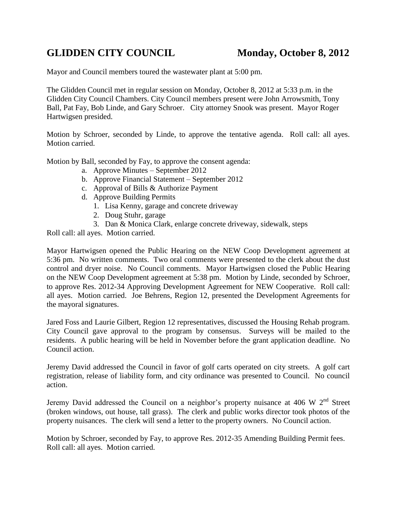## **GLIDDEN CITY COUNCIL Monday, October 8, 2012**

Mayor and Council members toured the wastewater plant at 5:00 pm.

The Glidden Council met in regular session on Monday, October 8, 2012 at 5:33 p.m. in the Glidden City Council Chambers. City Council members present were John Arrowsmith, Tony Ball, Pat Fay, Bob Linde, and Gary Schroer. City attorney Snook was present. Mayor Roger Hartwigsen presided.

Motion by Schroer, seconded by Linde, to approve the tentative agenda. Roll call: all ayes. Motion carried.

Motion by Ball, seconded by Fay, to approve the consent agenda:

- a. Approve Minutes September 2012
- b. Approve Financial Statement September 2012
- c. Approval of Bills & Authorize Payment
- d. Approve Building Permits
	- 1. Lisa Kenny, garage and concrete driveway
	- 2. Doug Stuhr, garage
	- 3. Dan & Monica Clark, enlarge concrete driveway, sidewalk, steps

Roll call: all ayes. Motion carried.

Mayor Hartwigsen opened the Public Hearing on the NEW Coop Development agreement at 5:36 pm. No written comments. Two oral comments were presented to the clerk about the dust control and dryer noise. No Council comments. Mayor Hartwigsen closed the Public Hearing on the NEW Coop Development agreement at 5:38 pm. Motion by Linde, seconded by Schroer, to approve Res. 2012-34 Approving Development Agreement for NEW Cooperative. Roll call: all ayes. Motion carried. Joe Behrens, Region 12, presented the Development Agreements for the mayoral signatures.

Jared Foss and Laurie Gilbert, Region 12 representatives, discussed the Housing Rehab program. City Council gave approval to the program by consensus. Surveys will be mailed to the residents. A public hearing will be held in November before the grant application deadline. No Council action.

Jeremy David addressed the Council in favor of golf carts operated on city streets. A golf cart registration, release of liability form, and city ordinance was presented to Council. No council action.

Jeremy David addressed the Council on a neighbor's property nuisance at 406 W 2nd Street (broken windows, out house, tall grass). The clerk and public works director took photos of the property nuisances. The clerk will send a letter to the property owners. No Council action.

Motion by Schroer, seconded by Fay, to approve Res. 2012-35 Amending Building Permit fees. Roll call: all ayes. Motion carried.